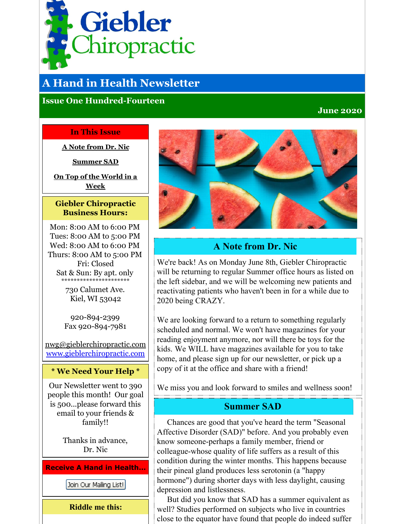<span id="page-0-0"></span>

# **A Hand in Health Newsletter**

### **Issue One Hundred-Fourteen**

### **June 2020**

#### **In This Issue**

**A Note [from](#page-0-0) Dr. Nic**

**[Summer](#page-0-0) SAD**

**On Top of the [World](#page-0-0) in a Week**

### **Giebler Chiropractic Business Hours:**

Mon: 8:00 AM to 6:00 PM Tues: 8:00 AM to 5:00 PM Wed: 8:00 AM to 6:00 PM Thurs: 8:00 AM to 5:00 PM Fri: Closed Sat & Sun: By apt. only \*\*\*\*\*\*\*\*\*\*\*\*\*\*\*\*\*\*\*\*\*\*

> 730 Calumet Ave. Kiel, WI 53042

920-894-2399 Fax 920-894-7981

nwg@gieblerchiropractic.com [www.gieblerchiropractic.com](http://www.gieblerchiropractic.com)

#### **\* We Need Your Help \***

Our Newsletter went to 390 people this month! Our goal is 500...please forward this email to your friends & family!!

> Thanks in advance, Dr. Nic

**Receive A Hand in Health...**

Join Our Mailing List!

**Riddle me this:**



# **A Note from Dr. Nic**

We're back! As on Monday June 8th, Giebler Chiropractic will be returning to regular Summer office hours as listed on the left sidebar, and we will be welcoming new patients and reactivating patients who haven't been in for a while due to 2020 being CRAZY.

We are looking forward to a return to something regularly scheduled and normal. We won't have magazines for your reading enjoyment anymore, nor will there be toys for the kids. We WILL have magazines available for you to take home, and please sign up for our newsletter, or pick up a copy of it at the office and share with a friend!

We miss you and look forward to smiles and wellness soon!

## **Summer SAD**

Chances are good that you've heard the term "Seasonal Affective Disorder (SAD)" before. And you probably even know someone-perhaps a family member, friend or colleague-whose quality of life suffers as a result of this condition during the winter months. This happens because their pineal gland produces less serotonin (a "happy hormone") during shorter days with less daylight, causing depression and listlessness.

But did you know that SAD has a summer equivalent as well? Studies performed on subjects who live in countries close to the equator have found that people do indeed suffer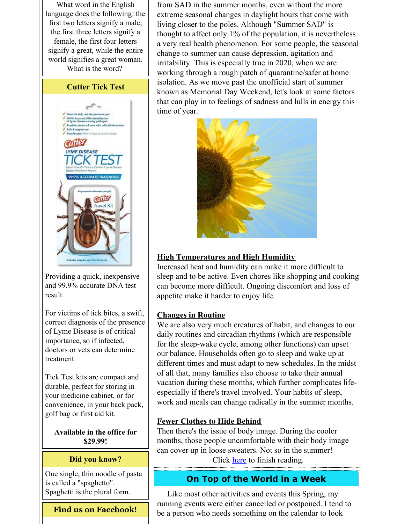What word in the English language does the following: the first two letters signify a male, the first three letters signify a female, the first four letters signify a great, while the entire world signifies a great woman. What is the word?



and 99.9% accurate DNA test result.

For victims of tick bites, a swift, correct diagnosis of the presence of Lyme Disease is of critical importance, so if infected, doctors or vets can determine treatment.

Tick Test kits are compact and durable, perfect for storing in your medicine cabinet, or for convenience, in your back pack, golf bag or first aid kit.

**Available in the office for \$29.99!**

### **Did you know?**

One single, thin noodle of pasta is called a "spaghetto". Spaghetti is the plural form.

## **Find us on Facebook!**

from SAD in the summer months, even without the more extreme seasonal changes in daylight hours that come with living closer to the poles. Although "Summer SAD" is thought to affect only 1% of the population, it is nevertheless a very real health phenomenon. For some people, the seasonal change to summer can cause depression, agitation and irritability. This is especially true in 2020, when we are working through a rough patch of quarantine/safer at home isolation. As we move past the unofficial start of summer known as Memorial Day Weekend, let's look at some factors that can play in to feelings of sadness and lulls in energy this time of year.



# **High Temperatures and High Humidity**

Increased heat and humidity can make it more difficult to sleep and to be active. Even chores like shopping and cooking can become more difficult. Ongoing discomfort and loss of appetite make it harder to enjoy life.

## **Changes in Routine**

We are also very much creatures of habit, and changes to our daily routines and circadian rhythms (which are responsible for the sleep-wake cycle, among other functions) can upset our balance. Households often go to sleep and wake up at different times and must adapt to new schedules. In the midst of all that, many families also choose to take their annual vacation during these months, which further complicates lifeespecially if there's travel involved. Your habits of sleep, work and meals can change radically in the summer months.

# **Fewer Clothes to Hide Behind**

Then there's the issue of body image. During the cooler months, those people uncomfortable with their body image can cover up in loose sweaters. Not so in the summer! Click [here](https://gieblerchiropractic.blogspot.com/2020/06/summer-sad.html) to finish reading.

# **On Top of the World in a Week**

Like most other activities and events this Spring, my running events were either cancelled or postponed. I tend to be a person who needs something on the calendar to look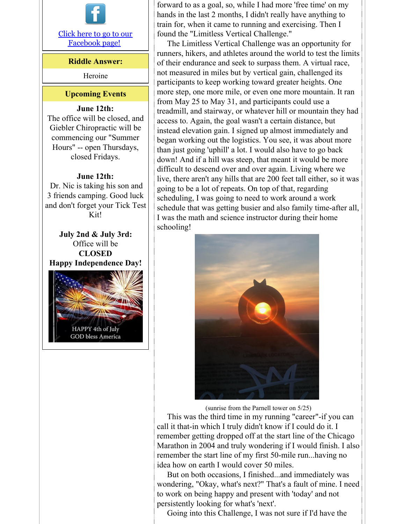

### **Riddle Answer:**

Heroine

#### **Upcoming Events**

#### **June 12th:**

The office will be closed, and Giebler Chiropractic will be commencing our "Summer Hours" -- open Thursdays, closed Fridays.

#### **June 12th:**

Dr. Nic is taking his son and 3 friends camping. Good luck and don't forget your Tick Test Kit!

**July 2nd & July 3rd:** Office will be **CLOSED Happy Independence Day!**



forward to as a goal, so, while I had more 'free time' on my hands in the last 2 months, I didn't really have anything to train for, when it came to running and exercising. Then I found the "Limitless Vertical Challenge."

The Limitless Vertical Challenge was an opportunity for runners, hikers, and athletes around the world to test the limits of their endurance and seek to surpass them. A virtual race, not measured in miles but by vertical gain, challenged its participants to keep working toward greater heights. One more step, one more mile, or even one more mountain. It ran from May 25 to May 31, and participants could use a treadmill, and stairway, or whatever hill or mountain they had access to. Again, the goal wasn't a certain distance, but instead elevation gain. I signed up almost immediately and began working out the logistics. You see, it was about more than just going 'uphill' a lot. I would also have to go back down! And if a hill was steep, that meant it would be more difficult to descend over and over again. Living where we live, there aren't any hills that are 200 feet tall either, so it was going to be a lot of repeats. On top of that, regarding scheduling, I was going to need to work around a work schedule that was getting busier and also family time-after all, I was the math and science instructor during their home schooling!



(sunrise from the Parnell tower on 5/25)

This was the third time in my running "career"-if you can call it that-in which I truly didn't know if I could do it. I remember getting dropped off at the start line of the Chicago Marathon in 2004 and truly wondering if I would finish. I also remember the start line of my first 50-mile run...having no idea how on earth I would cover 50 miles.

But on both occasions, I finished...and immediately was wondering, "Okay, what's next?" That's a fault of mine. I need to work on being happy and present with 'today' and not persistently looking for what's 'next'.

Going into this Challenge, I was not sure if I'd have the